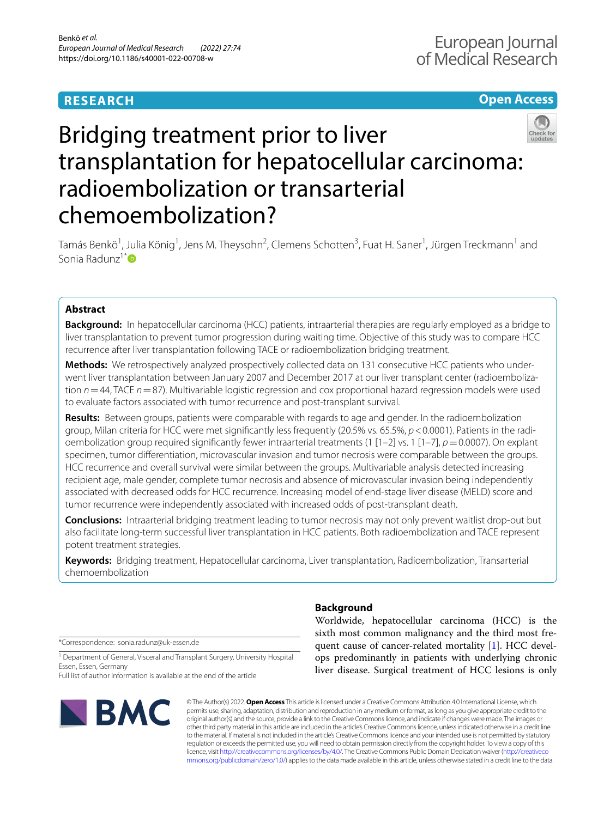# **RESEARCH**

# **Open Access**



# Bridging treatment prior to liver transplantation for hepatocellular carcinoma: radioembolization or transarterial chemoembolization?

Tamás Benkö<sup>1</sup>, Julia König<sup>1</sup>, Jens M. Theysohn<sup>2</sup>, Clemens Schotten<sup>3</sup>, Fuat H. Saner<sup>1</sup>, Jürgen Treckmann<sup>1</sup> and Sonia Radunz<sup>1\*</sup>D

# **Abstract**

**Background:** In hepatocellular carcinoma (HCC) patients, intraarterial therapies are regularly employed as a bridge to liver transplantation to prevent tumor progression during waiting time. Objective of this study was to compare HCC recurrence after liver transplantation following TACE or radioembolization bridging treatment.

**Methods:** We retrospectively analyzed prospectively collected data on 131 consecutive HCC patients who underwent liver transplantation between January 2007 and December 2017 at our liver transplant center (radioembolization *n*=44, TACE *n*=87). Multivariable logistic regression and cox proportional hazard regression models were used to evaluate factors associated with tumor recurrence and post-transplant survival.

**Results:** Between groups, patients were comparable with regards to age and gender. In the radioembolization group, Milan criteria for HCC were met signifcantly less frequently (20.5% vs. 65.5%, *p*<0.0001). Patients in the radioembolization group required signifcantly fewer intraarterial treatments (1 [1–2] vs. 1 [1–7], *p*=0.0007). On explant specimen, tumor diferentiation, microvascular invasion and tumor necrosis were comparable between the groups. HCC recurrence and overall survival were similar between the groups. Multivariable analysis detected increasing recipient age, male gender, complete tumor necrosis and absence of microvascular invasion being independently associated with decreased odds for HCC recurrence. Increasing model of end-stage liver disease (MELD) score and tumor recurrence were independently associated with increased odds of post-transplant death.

**Conclusions:** Intraarterial bridging treatment leading to tumor necrosis may not only prevent waitlist drop-out but also facilitate long-term successful liver transplantation in HCC patients. Both radioembolization and TACE represent potent treatment strategies.

**Keywords:** Bridging treatment, Hepatocellular carcinoma, Liver transplantation, Radioembolization, Transarterial chemoembolization

\*Correspondence: sonia.radunz@uk-essen.de

<sup>1</sup> Department of General, Visceral and Transplant Surgery, University Hospital Essen, Essen, Germany

Full list of author information is available at the end of the article



# **Background**

Worldwide, hepatocellular carcinoma (HCC) is the sixth most common malignancy and the third most frequent cause of cancer-related mortality [\[1](#page-6-0)]. HCC develops predominantly in patients with underlying chronic liver disease. Surgical treatment of HCC lesions is only

© The Author(s) 2022. **Open Access** This article is licensed under a Creative Commons Attribution 4.0 International License, which permits use, sharing, adaptation, distribution and reproduction in any medium or format, as long as you give appropriate credit to the original author(s) and the source, provide a link to the Creative Commons licence, and indicate if changes were made. The images or other third party material in this article are included in the article's Creative Commons licence, unless indicated otherwise in a credit line to the material. If material is not included in the article's Creative Commons licence and your intended use is not permitted by statutory regulation or exceeds the permitted use, you will need to obtain permission directly from the copyright holder. To view a copy of this licence, visit [http://creativecommons.org/licenses/by/4.0/.](http://creativecommons.org/licenses/by/4.0/) The Creative Commons Public Domain Dedication waiver ([http://creativeco](http://creativecommons.org/publicdomain/zero/1.0/) [mmons.org/publicdomain/zero/1.0/](http://creativecommons.org/publicdomain/zero/1.0/)) applies to the data made available in this article, unless otherwise stated in a credit line to the data.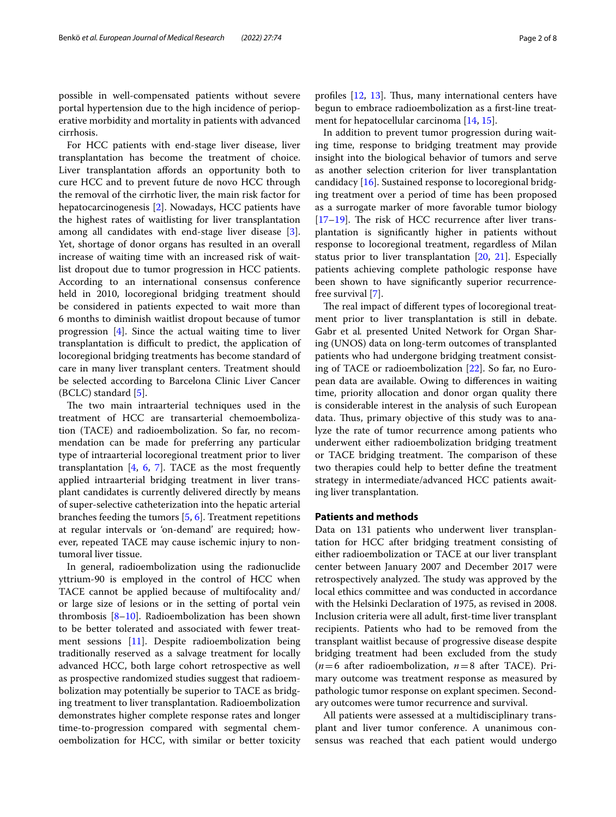possible in well-compensated patients without severe portal hypertension due to the high incidence of perioperative morbidity and mortality in patients with advanced cirrhosis.

For HCC patients with end-stage liver disease, liver transplantation has become the treatment of choice. Liver transplantation affords an opportunity both to cure HCC and to prevent future de novo HCC through the removal of the cirrhotic liver, the main risk factor for hepatocarcinogenesis [[2\]](#page-6-1). Nowadays, HCC patients have the highest rates of waitlisting for liver transplantation among all candidates with end-stage liver disease [\[3](#page-6-2)]. Yet, shortage of donor organs has resulted in an overall increase of waiting time with an increased risk of waitlist dropout due to tumor progression in HCC patients. According to an international consensus conference held in 2010, locoregional bridging treatment should be considered in patients expected to wait more than 6 months to diminish waitlist dropout because of tumor progression [[4\]](#page-6-3). Since the actual waiting time to liver transplantation is difficult to predict, the application of locoregional bridging treatments has become standard of care in many liver transplant centers. Treatment should be selected according to Barcelona Clinic Liver Cancer (BCLC) standard [\[5](#page-6-4)].

The two main intraarterial techniques used in the treatment of HCC are transarterial chemoembolization (TACE) and radioembolization. So far, no recommendation can be made for preferring any particular type of intraarterial locoregional treatment prior to liver transplantation  $[4, 6, 7]$  $[4, 6, 7]$  $[4, 6, 7]$  $[4, 6, 7]$  $[4, 6, 7]$  $[4, 6, 7]$ . TACE as the most frequently applied intraarterial bridging treatment in liver transplant candidates is currently delivered directly by means of super-selective catheterization into the hepatic arterial branches feeding the tumors [[5,](#page-6-4) [6](#page-6-5)]. Treatment repetitions at regular intervals or 'on-demand' are required; however, repeated TACE may cause ischemic injury to nontumoral liver tissue.

In general, radioembolization using the radionuclide yttrium-90 is employed in the control of HCC when TACE cannot be applied because of multifocality and/ or large size of lesions or in the setting of portal vein thrombosis  $[8-10]$  $[8-10]$ . Radioembolization has been shown to be better tolerated and associated with fewer treatment sessions [\[11\]](#page-6-9). Despite radioembolization being traditionally reserved as a salvage treatment for locally advanced HCC, both large cohort retrospective as well as prospective randomized studies suggest that radioembolization may potentially be superior to TACE as bridging treatment to liver transplantation. Radioembolization demonstrates higher complete response rates and longer time-to-progression compared with segmental chemoembolization for HCC, with similar or better toxicity

profiles  $[12, 13]$  $[12, 13]$  $[12, 13]$ . Thus, many international centers have begun to embrace radioembolization as a frst-line treatment for hepatocellular carcinoma [\[14](#page-6-12), [15\]](#page-6-13).

In addition to prevent tumor progression during waiting time, response to bridging treatment may provide insight into the biological behavior of tumors and serve as another selection criterion for liver transplantation candidacy [[16](#page-6-14)]. Sustained response to locoregional bridging treatment over a period of time has been proposed as a surrogate marker of more favorable tumor biology  $[17–19]$  $[17–19]$  $[17–19]$ . The risk of HCC recurrence after liver transplantation is signifcantly higher in patients without response to locoregional treatment, regardless of Milan status prior to liver transplantation [\[20](#page-7-2), [21](#page-7-3)]. Especially patients achieving complete pathologic response have been shown to have signifcantly superior recurrencefree survival [\[7](#page-6-6)].

The real impact of different types of locoregional treatment prior to liver transplantation is still in debate. Gabr et al*.* presented United Network for Organ Sharing (UNOS) data on long-term outcomes of transplanted patients who had undergone bridging treatment consisting of TACE or radioembolization [[22\]](#page-7-4). So far, no European data are available. Owing to diferences in waiting time, priority allocation and donor organ quality there is considerable interest in the analysis of such European data. Thus, primary objective of this study was to analyze the rate of tumor recurrence among patients who underwent either radioembolization bridging treatment or TACE bridging treatment. The comparison of these two therapies could help to better defne the treatment strategy in intermediate/advanced HCC patients awaiting liver transplantation.

# **Patients and methods**

Data on 131 patients who underwent liver transplantation for HCC after bridging treatment consisting of either radioembolization or TACE at our liver transplant center between January 2007 and December 2017 were retrospectively analyzed. The study was approved by the local ethics committee and was conducted in accordance with the Helsinki Declaration of 1975, as revised in 2008. Inclusion criteria were all adult, frst-time liver transplant recipients. Patients who had to be removed from the transplant waitlist because of progressive disease despite bridging treatment had been excluded from the study  $(n=6$  after radioembolization,  $n=8$  after TACE). Primary outcome was treatment response as measured by pathologic tumor response on explant specimen. Secondary outcomes were tumor recurrence and survival.

All patients were assessed at a multidisciplinary transplant and liver tumor conference. A unanimous consensus was reached that each patient would undergo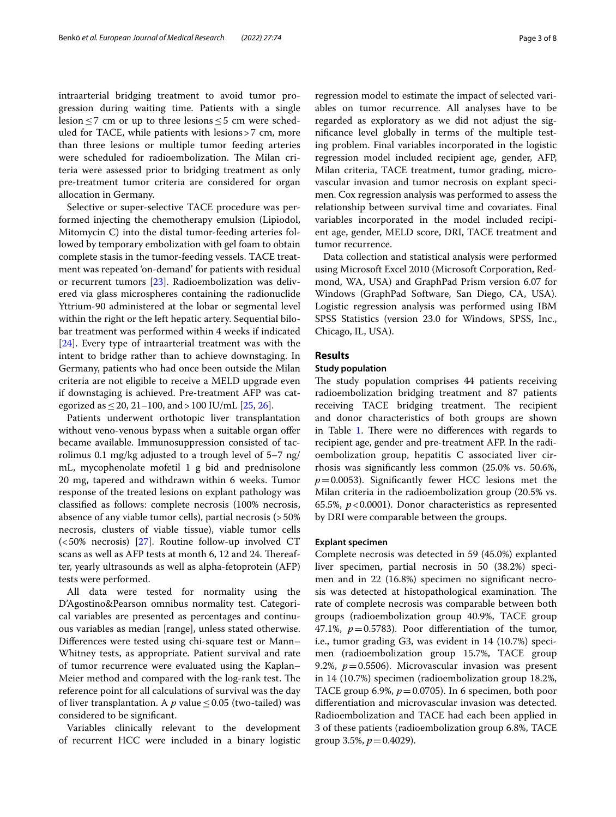intraarterial bridging treatment to avoid tumor progression during waiting time. Patients with a single lesion  $\leq$ 7 cm or up to three lesions  $\leq$ 5 cm were scheduled for TACE, while patients with lesions>7 cm, more than three lesions or multiple tumor feeding arteries were scheduled for radioembolization. The Milan criteria were assessed prior to bridging treatment as only pre-treatment tumor criteria are considered for organ allocation in Germany.

Selective or super-selective TACE procedure was performed injecting the chemotherapy emulsion (Lipiodol, Mitomycin C) into the distal tumor-feeding arteries followed by temporary embolization with gel foam to obtain complete stasis in the tumor-feeding vessels. TACE treatment was repeated 'on-demand' for patients with residual or recurrent tumors [\[23\]](#page-7-5). Radioembolization was delivered via glass microspheres containing the radionuclide Yttrium-90 administered at the lobar or segmental level within the right or the left hepatic artery. Sequential bilobar treatment was performed within 4 weeks if indicated [[24\]](#page-7-6). Every type of intraarterial treatment was with the intent to bridge rather than to achieve downstaging. In Germany, patients who had once been outside the Milan criteria are not eligible to receive a MELD upgrade even if downstaging is achieved. Pre-treatment AFP was categorized as  $\leq$  20, 21–100, and > 100 IU/mL [\[25](#page-7-7), [26](#page-7-8)].

Patients underwent orthotopic liver transplantation without veno-venous bypass when a suitable organ offer became available. Immunosuppression consisted of tacrolimus 0.1 mg/kg adjusted to a trough level of 5–7 ng/ mL, mycophenolate mofetil 1 g bid and prednisolone 20 mg, tapered and withdrawn within 6 weeks. Tumor response of the treated lesions on explant pathology was classifed as follows: complete necrosis (100% necrosis, absence of any viable tumor cells), partial necrosis (>50% necrosis, clusters of viable tissue), viable tumor cells (<50% necrosis) [[27\]](#page-7-9). Routine follow-up involved CT scans as well as AFP tests at month 6, 12 and 24. Thereafter, yearly ultrasounds as well as alpha-fetoprotein (AFP) tests were performed.

All data were tested for normality using the D'Agostino&Pearson omnibus normality test. Categorical variables are presented as percentages and continuous variables as median [range], unless stated otherwise. Diferences were tested using chi-square test or Mann– Whitney tests, as appropriate. Patient survival and rate of tumor recurrence were evaluated using the Kaplan– Meier method and compared with the log-rank test. The reference point for all calculations of survival was the day of liver transplantation. A  $p$  value  $\leq$  0.05 (two-tailed) was considered to be signifcant.

Variables clinically relevant to the development of recurrent HCC were included in a binary logistic regression model to estimate the impact of selected variables on tumor recurrence. All analyses have to be regarded as exploratory as we did not adjust the signifcance level globally in terms of the multiple testing problem. Final variables incorporated in the logistic regression model included recipient age, gender, AFP, Milan criteria, TACE treatment, tumor grading, microvascular invasion and tumor necrosis on explant specimen. Cox regression analysis was performed to assess the relationship between survival time and covariates. Final variables incorporated in the model included recipient age, gender, MELD score, DRI, TACE treatment and tumor recurrence.

Data collection and statistical analysis were performed using Microsoft Excel 2010 (Microsoft Corporation, Redmond, WA, USA) and GraphPad Prism version 6.07 for Windows (GraphPad Software, San Diego, CA, USA). Logistic regression analysis was performed using IBM SPSS Statistics (version 23.0 for Windows, SPSS, Inc., Chicago, IL, USA).

# **Results**

## **Study population**

The study population comprises 44 patients receiving radioembolization bridging treatment and 87 patients receiving TACE bridging treatment. The recipient and donor characteristics of both groups are shown in Table [1](#page-3-0). There were no differences with regards to recipient age, gender and pre-treatment AFP. In the radioembolization group, hepatitis C associated liver cirrhosis was signifcantly less common (25.0% vs. 50.6%,  $p=0.0053$ ). Significantly fewer HCC lesions met the Milan criteria in the radioembolization group (20.5% vs. 65.5%, *p*<0.0001). Donor characteristics as represented by DRI were comparable between the groups.

## **Explant specimen**

Complete necrosis was detected in 59 (45.0%) explanted liver specimen, partial necrosis in 50 (38.2%) specimen and in 22 (16.8%) specimen no signifcant necrosis was detected at histopathological examination. The rate of complete necrosis was comparable between both groups (radioembolization group 40.9%, TACE group 47.1%,  $p=0.5783$ ). Poor differentiation of the tumor, i.e., tumor grading G3, was evident in 14 (10.7%) specimen (radioembolization group 15.7%, TACE group 9.2%,  $p=0.5506$ ). Microvascular invasion was present in 14 (10.7%) specimen (radioembolization group 18.2%, TACE group 6.9%,  $p = 0.0705$ ). In 6 specimen, both poor diferentiation and microvascular invasion was detected. Radioembolization and TACE had each been applied in 3 of these patients (radioembolization group 6.8%, TACE group 3.5%,  $p = 0.4029$ ).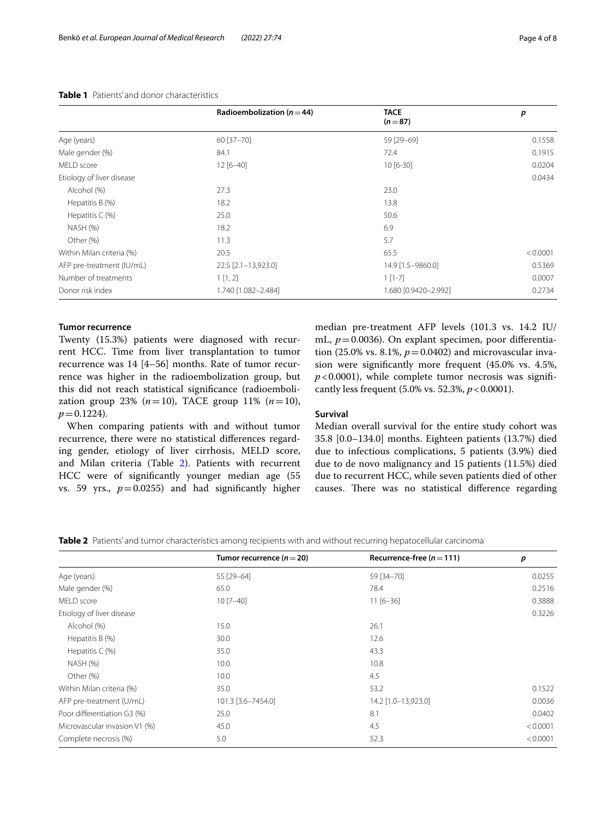|                           | Radioembolization ( $n = 44$ ) | <b>TACE</b><br>$(n=87)$ | p        |
|---------------------------|--------------------------------|-------------------------|----------|
| Age (years)               | 60 [37-70]                     | 59 [29-69]              | 0.1558   |
| Male gender (%)           | 84.1                           | 72.4                    | 0.1915   |
| MELD score                | $12[6 - 40]$                   | $10[6-30]$              | 0.0204   |
| Etiology of liver disease |                                |                         | 0.0434   |
| Alcohol (%)               | 27.3                           | 23.0                    |          |
| Hepatitis B (%)           | 18.2                           | 13.8                    |          |
| Hepatitis $C(\%)$         | 25.0                           | 50.6                    |          |
| NASH (%)                  | 18.2                           | 6.9                     |          |
| Other (%)                 | 11.3                           | 5.7                     |          |
| Within Milan criteria (%) | 20.5                           | 65.5                    | < 0.0001 |
| AFP pre-treatment (IU/mL) | 22.5 [2.1-13,923.0]            | 14.9 [1.5-9860.0]       | 0.5369   |
| Number of treatments      | 1[1,2]                         | $1$ [1-7]               | 0.0007   |
| Donor risk index          | 1.740 [1.082-2.484]            | 1.680 [0.9420-2.992]    | 0.2734   |

## <span id="page-3-0"></span>**Table 1** Patients' and donor characteristics

# **Tumor recurrence**

Twenty (15.3%) patients were diagnosed with recurrent HCC. Time from liver transplantation to tumor recurrence was 14 [4–56] months. Rate of tumor recurrence was higher in the radioembolization group, but this did not reach statistical signifcance (radioembolization group 23%  $(n=10)$ , TACE group 11%  $(n=10)$ ,  $p = 0.1224$ .

When comparing patients with and without tumor recurrence, there were no statistical diferences regarding gender, etiology of liver cirrhosis, MELD score, and Milan criteria (Table [2\)](#page-3-1). Patients with recurrent HCC were of signifcantly younger median age (55 vs. 59 yrs.,  $p=0.0255$ ) and had significantly higher median pre-treatment AFP levels (101.3 vs. 14.2 IU/ mL,  $p = 0.0036$ ). On explant specimen, poor differentiation (25.0% vs. 8.1%,  $p = 0.0402$ ) and microvascular invasion were signifcantly more frequent (45.0% vs. 4.5%,  $p$ <0.0001), while complete tumor necrosis was significantly less frequent (5.0% vs. 52.3%, *p*<0.0001).

## **Survival**

Median overall survival for the entire study cohort was 35.8 [0.0–134.0] months. Eighteen patients (13.7%) died due to infectious complications, 5 patients (3.9%) died due to de novo malignancy and 15 patients (11.5%) died due to recurrent HCC, while seven patients died of other causes. There was no statistical difference regarding

<span id="page-3-1"></span>**Table 2** Patients' and tumor characteristics among recipients with and without recurring hepatocellular carcinoma

|                               | Tumor recurrence $(n=20)$ | Recurrence-free ( $n = 111$ ) | p        |
|-------------------------------|---------------------------|-------------------------------|----------|
| Age (years)                   | 55 [29-64]                | 59 [34-70]                    | 0.0255   |
| Male gender (%)               | 65.0                      | 78.4                          | 0.2516   |
| MELD score                    | $10 [7 - 40]$             | $11[6-36]$                    | 0.3888   |
| Etiology of liver disease     |                           |                               | 0.3226   |
| Alcohol (%)                   | 15.0                      | 26.1                          |          |
| Hepatitis B (%)               | 30.0                      | 12.6                          |          |
| Hepatitis $C(\%)$             | 35.0                      | 43.3                          |          |
| NASH (%)                      | 10.0                      | 10.8                          |          |
| Other (%)                     | 10.0                      | 4.5                           |          |
| Within Milan criteria (%)     | 35.0                      | 53.2                          | 0.1522   |
| AFP pre-treatment (U/mL)      | 101.3 [3.6-7454.0]        | 14.2 [1.0-13,923.0]           | 0.0036   |
| Poor differentiation G3 (%)   | 25.0                      | 8.1                           | 0.0402   |
| Microvascular invasion V1 (%) | 45.0                      | 4.5                           | < 0.0001 |
| Complete necrosis (%)         | 5.0                       | 52.3                          | < 0.0001 |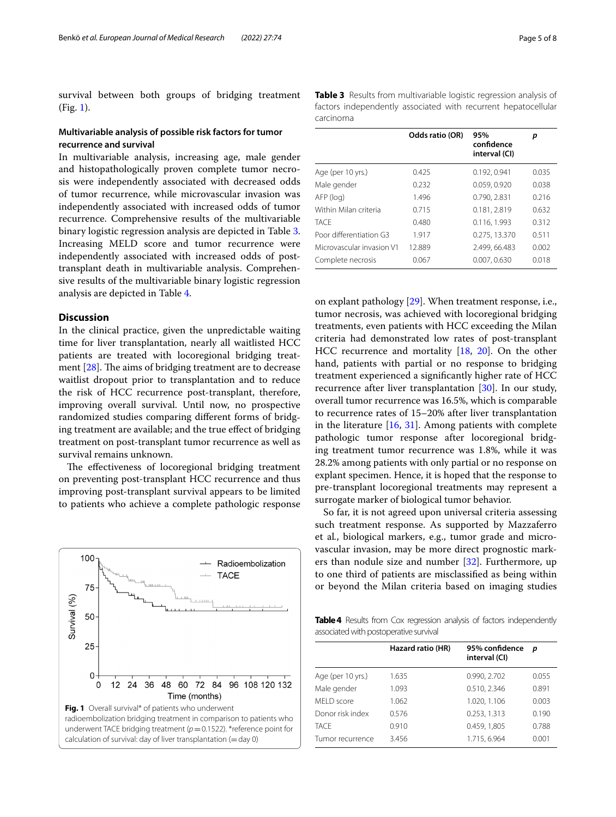survival between both groups of bridging treatment (Fig. [1\)](#page-4-0).

# **Multivariable analysis of possible risk factors for tumor recurrence and survival**

In multivariable analysis, increasing age, male gender and histopathologically proven complete tumor necrosis were independently associated with decreased odds of tumor recurrence, while microvascular invasion was independently associated with increased odds of tumor recurrence. Comprehensive results of the multivariable binary logistic regression analysis are depicted in Table [3](#page-4-1). Increasing MELD score and tumor recurrence were independently associated with increased odds of posttransplant death in multivariable analysis. Comprehensive results of the multivariable binary logistic regression analysis are depicted in Table [4](#page-4-2).

# **Discussion**

In the clinical practice, given the unpredictable waiting time for liver transplantation, nearly all waitlisted HCC patients are treated with locoregional bridging treatment  $[28]$  $[28]$ . The aims of bridging treatment are to decrease waitlist dropout prior to transplantation and to reduce the risk of HCC recurrence post-transplant, therefore, improving overall survival. Until now, no prospective randomized studies comparing diferent forms of bridging treatment are available; and the true efect of bridging treatment on post-transplant tumor recurrence as well as survival remains unknown.

The effectiveness of locoregional bridging treatment on preventing post-transplant HCC recurrence and thus improving post-transplant survival appears to be limited to patients who achieve a complete pathologic response

<span id="page-4-0"></span>

<span id="page-4-1"></span>**Table 3** Results from multivariable logistic regression analysis of factors independently associated with recurrent hepatocellular carcinoma

|                           | Odds ratio (OR) | 95%<br>confidence<br>interval (CI) | р     |
|---------------------------|-----------------|------------------------------------|-------|
| Age (per 10 yrs.)         | 0.425           | 0.192, 0.941                       | 0.035 |
| Male gender               | 0.232           | 0.059, 0.920                       | 0.038 |
| AFP (log)                 | 1.496           | 0.790.2.831                        | 0.216 |
| Within Milan criteria     | 0.715           | 0.181, 2.819                       | 0.632 |
| <b>TACE</b>               | 0.480           | 0.116, 1.993                       | 0.312 |
| Poor differentiation G3   | 1.917           | 0.275, 13.370                      | 0.511 |
| Microvascular invasion V1 | 12.889          | 2.499, 66.483                      | 0.002 |
| Complete necrosis         | 0.067           | 0.007, 0.630                       | 0.018 |

on explant pathology [\[29\]](#page-7-11). When treatment response, i.e., tumor necrosis, was achieved with locoregional bridging treatments, even patients with HCC exceeding the Milan criteria had demonstrated low rates of post-transplant HCC recurrence and mortality [[18,](#page-7-12) [20](#page-7-2)]. On the other hand, patients with partial or no response to bridging treatment experienced a signifcantly higher rate of HCC recurrence after liver transplantation [[30\]](#page-7-13). In our study, overall tumor recurrence was 16.5%, which is comparable to recurrence rates of 15–20% after liver transplantation in the literature  $[16, 31]$  $[16, 31]$  $[16, 31]$  $[16, 31]$ . Among patients with complete pathologic tumor response after locoregional bridging treatment tumor recurrence was 1.8%, while it was 28.2% among patients with only partial or no response on explant specimen. Hence, it is hoped that the response to pre-transplant locoregional treatments may represent a surrogate marker of biological tumor behavior.

So far, it is not agreed upon universal criteria assessing such treatment response. As supported by Mazzaferro et al*.*, biological markers, e.g., tumor grade and microvascular invasion, may be more direct prognostic markers than nodule size and number [[32\]](#page-7-15). Furthermore, up to one third of patients are misclassifed as being within or beyond the Milan criteria based on imaging studies

<span id="page-4-2"></span>Table 4 Results from Cox regression analysis of factors independently associated with postoperative survival

|                   | Hazard ratio (HR) | 95% confidence<br>interval (CI) | p     |
|-------------------|-------------------|---------------------------------|-------|
| Age (per 10 yrs.) | 1.635             | 0.990, 2.702                    | 0.055 |
| Male gender       | 1.093             | 0.510, 2.346                    | 0.891 |
| MFI D score       | 1.062             | 1.020, 1.106                    | 0.003 |
| Donor risk index  | 0.576             | 0.253, 1.313                    | 0.190 |
| <b>TACE</b>       | 0.910             | 0.459, 1,805                    | 0.788 |
| Tumor recurrence  | 3.456             | 1.715, 6.964                    | 0.001 |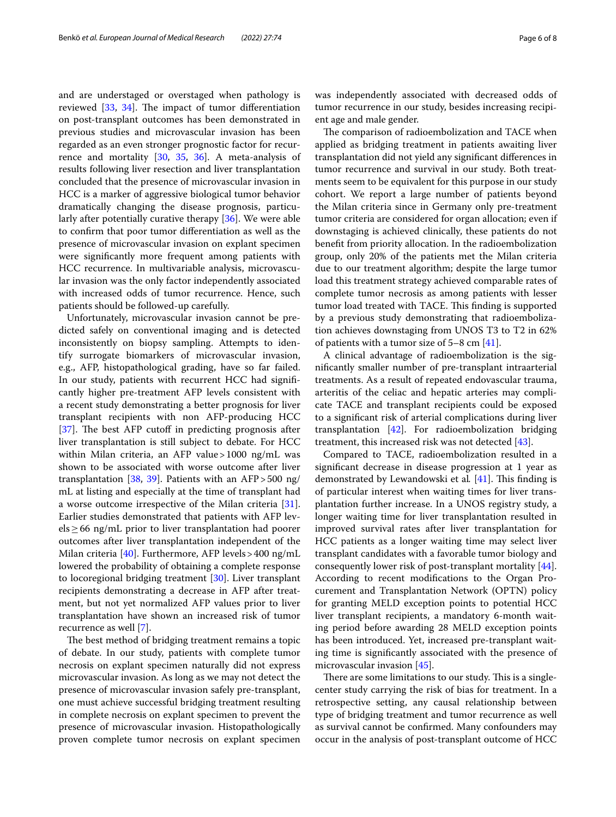and are understaged or overstaged when pathology is reviewed  $[33, 34]$  $[33, 34]$  $[33, 34]$ . The impact of tumor differentiation on post-transplant outcomes has been demonstrated in previous studies and microvascular invasion has been regarded as an even stronger prognostic factor for recurrence and mortality [\[30](#page-7-13), [35,](#page-7-18) [36](#page-7-19)]. A meta-analysis of results following liver resection and liver transplantation concluded that the presence of microvascular invasion in HCC is a marker of aggressive biological tumor behavior dramatically changing the disease prognosis, particularly after potentially curative therapy [\[36](#page-7-19)]. We were able to confrm that poor tumor diferentiation as well as the presence of microvascular invasion on explant specimen were signifcantly more frequent among patients with HCC recurrence. In multivariable analysis, microvascular invasion was the only factor independently associated with increased odds of tumor recurrence. Hence, such patients should be followed-up carefully.

Unfortunately, microvascular invasion cannot be predicted safely on conventional imaging and is detected inconsistently on biopsy sampling. Attempts to identify surrogate biomarkers of microvascular invasion, e.g., AFP, histopathological grading, have so far failed. In our study, patients with recurrent HCC had signifcantly higher pre-treatment AFP levels consistent with a recent study demonstrating a better prognosis for liver transplant recipients with non AFP-producing HCC  $[37]$  $[37]$ . The best AFP cutoff in predicting prognosis after liver transplantation is still subject to debate. For HCC within Milan criteria, an AFP value > 1000 ng/mL was shown to be associated with worse outcome after liver transplantation [\[38](#page-7-21), [39\]](#page-7-22). Patients with an AFP > 500  $\frac{mg}{m}$ mL at listing and especially at the time of transplant had a worse outcome irrespective of the Milan criteria [\[31](#page-7-14)]. Earlier studies demonstrated that patients with AFP levels≥66 ng/mL prior to liver transplantation had poorer outcomes after liver transplantation independent of the Milan criteria [\[40](#page-7-23)]. Furthermore, AFP levels>400 ng/mL lowered the probability of obtaining a complete response to locoregional bridging treatment [\[30](#page-7-13)]. Liver transplant recipients demonstrating a decrease in AFP after treatment, but not yet normalized AFP values prior to liver transplantation have shown an increased risk of tumor recurrence as well [[7\]](#page-6-6).

The best method of bridging treatment remains a topic of debate. In our study, patients with complete tumor necrosis on explant specimen naturally did not express microvascular invasion. As long as we may not detect the presence of microvascular invasion safely pre-transplant, one must achieve successful bridging treatment resulting in complete necrosis on explant specimen to prevent the presence of microvascular invasion. Histopathologically proven complete tumor necrosis on explant specimen was independently associated with decreased odds of tumor recurrence in our study, besides increasing recipient age and male gender.

The comparison of radioembolization and TACE when applied as bridging treatment in patients awaiting liver transplantation did not yield any signifcant diferences in tumor recurrence and survival in our study. Both treatments seem to be equivalent for this purpose in our study cohort. We report a large number of patients beyond the Milan criteria since in Germany only pre-treatment tumor criteria are considered for organ allocation; even if downstaging is achieved clinically, these patients do not beneft from priority allocation. In the radioembolization group, only 20% of the patients met the Milan criteria due to our treatment algorithm; despite the large tumor load this treatment strategy achieved comparable rates of complete tumor necrosis as among patients with lesser tumor load treated with TACE. This finding is supported by a previous study demonstrating that radioembolization achieves downstaging from UNOS T3 to T2 in 62% of patients with a tumor size of 5–8 cm [[41](#page-7-24)].

A clinical advantage of radioembolization is the signifcantly smaller number of pre-transplant intraarterial treatments. As a result of repeated endovascular trauma, arteritis of the celiac and hepatic arteries may complicate TACE and transplant recipients could be exposed to a signifcant risk of arterial complications during liver transplantation [[42\]](#page-7-25). For radioembolization bridging treatment, this increased risk was not detected [[43](#page-7-26)].

Compared to TACE, radioembolization resulted in a signifcant decrease in disease progression at 1 year as demonstrated by Lewandowski et al. [[41\]](#page-7-24). This finding is of particular interest when waiting times for liver transplantation further increase. In a UNOS registry study, a longer waiting time for liver transplantation resulted in improved survival rates after liver transplantation for HCC patients as a longer waiting time may select liver transplant candidates with a favorable tumor biology and consequently lower risk of post-transplant mortality [\[44](#page-7-27)]. According to recent modifcations to the Organ Procurement and Transplantation Network (OPTN) policy for granting MELD exception points to potential HCC liver transplant recipients, a mandatory 6-month waiting period before awarding 28 MELD exception points has been introduced. Yet, increased pre-transplant waiting time is signifcantly associated with the presence of microvascular invasion [[45\]](#page-7-28).

There are some limitations to our study. This is a singlecenter study carrying the risk of bias for treatment. In a retrospective setting, any causal relationship between type of bridging treatment and tumor recurrence as well as survival cannot be confrmed. Many confounders may occur in the analysis of post-transplant outcome of HCC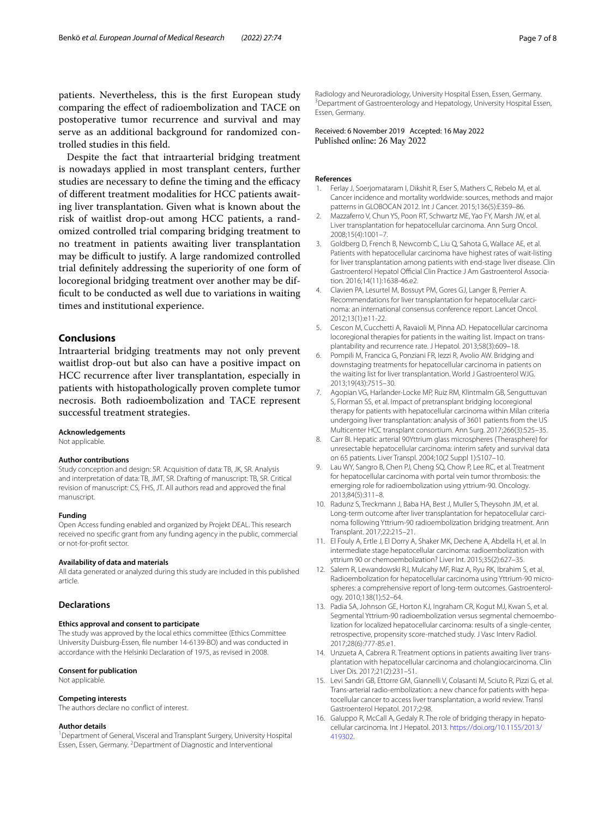patients. Nevertheless, this is the frst European study comparing the efect of radioembolization and TACE on postoperative tumor recurrence and survival and may serve as an additional background for randomized controlled studies in this feld.

Despite the fact that intraarterial bridging treatment is nowadays applied in most transplant centers, further studies are necessary to define the timing and the efficacy of diferent treatment modalities for HCC patients awaiting liver transplantation. Given what is known about the risk of waitlist drop-out among HCC patients, a randomized controlled trial comparing bridging treatment to no treatment in patients awaiting liver transplantation may be difficult to justify. A large randomized controlled trial defnitely addressing the superiority of one form of locoregional bridging treatment over another may be diffcult to be conducted as well due to variations in waiting times and institutional experience.

# **Conclusions**

Intraarterial bridging treatments may not only prevent waitlist drop-out but also can have a positive impact on HCC recurrence after liver transplantation, especially in patients with histopathologically proven complete tumor necrosis. Both radioembolization and TACE represent successful treatment strategies.

#### **Acknowledgements**

Not applicable.

#### **Author contributions**

Study conception and design: SR. Acquisition of data: TB, JK, SR. Analysis and interpretation of data: TB, JMT, SR. Drafting of manuscript: TB, SR. Critical revision of manuscript: CS, FHS, JT. All authors read and approved the fnal manuscript.

#### **Funding**

Open Access funding enabled and organized by Projekt DEAL. This research received no specifc grant from any funding agency in the public, commercial or not-for-proft sector.

#### **Availability of data and materials**

All data generated or analyzed during this study are included in this published article.

#### **Declarations**

## **Ethics approval and consent to participate**

The study was approved by the local ethics committee (Ethics Committee University Duisburg-Essen, fle number 14-6139-BO) and was conducted in accordance with the Helsinki Declaration of 1975, as revised in 2008.

#### **Consent for publication**

Not applicable.

#### **Competing interests**

The authors declare no confict of interest.

#### **Author details**

<sup>1</sup> Department of General, Visceral and Transplant Surgery, University Hospital Essen, Essen, Germany. <sup>2</sup> Department of Diagnostic and Interventional

Radiology and Neuroradiology, University Hospital Essen, Essen, Germany. 3 <sup>3</sup> Department of Gastroenterology and Hepatology, University Hospital Essen, Essen, Germany.

## Received: 6 November 2019 Accepted: 16 May 2022 Published online: 26 May 2022

#### **References**

- <span id="page-6-0"></span>1. Ferlay J, Soerjomataram I, Dikshit R, Eser S, Mathers C, Rebelo M, et al. Cancer incidence and mortality worldwide: sources, methods and major patterns in GLOBOCAN 2012. Int J Cancer. 2015;136(5):E359–86.
- <span id="page-6-1"></span>2. Mazzaferro V, Chun YS, Poon RT, Schwartz ME, Yao FY, Marsh JW, et al. Liver transplantation for hepatocellular carcinoma. Ann Surg Oncol. 2008;15(4):1001–7.
- <span id="page-6-2"></span>3. Goldberg D, French B, Newcomb C, Liu Q, Sahota G, Wallace AE, et al. Patients with hepatocellular carcinoma have highest rates of wait-listing for liver transplantation among patients with end-stage liver disease. Clin Gastroenterol Hepatol Official Clin Practice J Am Gastroenterol Association. 2016;14(11):1638-46.e2.
- <span id="page-6-3"></span>4. Clavien PA, Lesurtel M, Bossuyt PM, Gores GJ, Langer B, Perrier A. Recommendations for liver transplantation for hepatocellular carcinoma: an international consensus conference report. Lancet Oncol. 2012;13(1):e11-22.
- <span id="page-6-4"></span>5. Cescon M, Cucchetti A, Ravaioli M, Pinna AD. Hepatocellular carcinoma locoregional therapies for patients in the waiting list. Impact on transplantability and recurrence rate. J Hepatol. 2013;58(3):609–18.
- <span id="page-6-5"></span>6. Pompili M, Francica G, Ponziani FR, Iezzi R, Avolio AW. Bridging and downstaging treatments for hepatocellular carcinoma in patients on the waiting list for liver transplantation. World J Gastroenterol WJG. 2013;19(43):7515–30.
- <span id="page-6-6"></span>7. Agopian VG, Harlander-Locke MP, Ruiz RM, Klintmalm GB, Senguttuvan S, Florman SS, et al. Impact of pretransplant bridging locoregional therapy for patients with hepatocellular carcinoma within Milan criteria undergoing liver transplantation: analysis of 3601 patients from the US Multicenter HCC transplant consortium. Ann Surg. 2017;266(3):525–35.
- <span id="page-6-7"></span>8. Carr BI. Hepatic arterial 90Yttrium glass microspheres (Therasphere) for unresectable hepatocellular carcinoma: interim safety and survival data on 65 patients. Liver Transpl. 2004;10(2 Suppl 1):S107–10.
- 9. Lau WY, Sangro B, Chen PJ, Cheng SQ, Chow P, Lee RC, et al. Treatment for hepatocellular carcinoma with portal vein tumor thrombosis: the emerging role for radioembolization using yttrium-90. Oncology. 2013;84(5):311–8.
- <span id="page-6-8"></span>10. Radunz S, Treckmann J, Baba HA, Best J, Muller S, Theysohn JM, et al. Long-term outcome after liver transplantation for hepatocellular carcinoma following Yttrium-90 radioembolization bridging treatment. Ann Transplant. 2017;22:215–21.
- <span id="page-6-9"></span>11. El Fouly A, Ertle J, El Dorry A, Shaker MK, Dechene A, Abdella H, et al. In intermediate stage hepatocellular carcinoma: radioembolization with yttrium 90 or chemoembolization? Liver Int. 2015;35(2):627–35.
- <span id="page-6-10"></span>12. Salem R, Lewandowski RJ, Mulcahy MF, Riaz A, Ryu RK, Ibrahim S, et al. Radioembolization for hepatocellular carcinoma using Yttrium-90 microspheres: a comprehensive report of long-term outcomes. Gastroenterology. 2010;138(1):52–64.
- <span id="page-6-11"></span>13. Padia SA, Johnson GE, Horton KJ, Ingraham CR, Kogut MJ, Kwan S, et al. Segmental Yttrium-90 radioembolization versus segmental chemoembolization for localized hepatocellular carcinoma: results of a single-center, retrospective, propensity score-matched study. J Vasc Interv Radiol. 2017;28(6):777-85.e1.
- <span id="page-6-12"></span>14. Unzueta A, Cabrera R. Treatment options in patients awaiting liver transplantation with hepatocellular carcinoma and cholangiocarcinoma. Clin Liver Dis. 2017;21(2):231–51.
- <span id="page-6-13"></span>15. Levi Sandri GB, Ettorre GM, Giannelli V, Colasanti M, Sciuto R, Pizzi G, et al. Trans-arterial radio-embolization: a new chance for patients with hepatocellular cancer to access liver transplantation, a world review. Transl Gastroenterol Hepatol. 2017;2:98.
- <span id="page-6-14"></span>16. Galuppo R, McCall A, Gedaly R. The role of bridging therapy in hepatocellular carcinoma. Int J Hepatol. 2013. [https://doi.org/10.1155/2013/](https://doi.org/10.1155/2013/419302) [419302.](https://doi.org/10.1155/2013/419302)